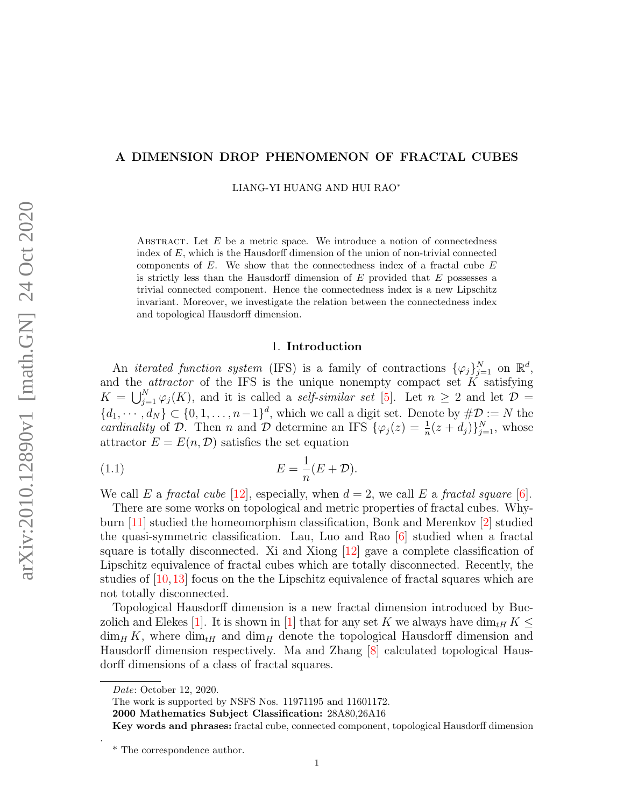## A DIMENSION DROP PHENOMENON OF FRACTAL CUBES

LIANG-YI HUANG AND HUI RAO<sup>∗</sup>

ABSTRACT. Let  $E$  be a metric space. We introduce a notion of connectedness index of  $E$ , which is the Hausdorff dimension of the union of non-trivial connected components of  $E$ . We show that the connectedness index of a fractal cube  $E$ is strictly less than the Hausdorff dimension of  $E$  provided that  $E$  possesses a trivial connected component. Hence the connectedness index is a new Lipschitz invariant. Moreover, we investigate the relation between the connectedness index and topological Hausdorff dimension.

#### <span id="page-0-0"></span>1. Introduction

An *iterated function system* (IFS) is a family of contractions  $\{\varphi_j\}_{j=1}^N$  on  $\mathbb{R}^d$ , and the *attractor* of the IFS is the unique nonempty compact set  $K$  satisfying  $K = \bigcup_{j=1}^{N} \varphi_j(K)$ , and it is called a *self-similar set* [\[5\]](#page-11-0). Let  $n \geq 2$  and let  $\mathcal{D} =$  $\{d_1, \dots, d_N\} \subset \{0, 1, \dots, n-1\}^d$ , which we call a digit set. Denote by  $\#\mathcal{D} := N$  the cardinality of D. Then n and D determine an IFS  $\{\varphi_j(z) = \frac{1}{n}(z+d_j)\}_{j=1}^N$ , whose attractor  $E = E(n, \mathcal{D})$  satisfies the set equation

$$
(1.1)\qquad \qquad E = \frac{1}{n}(E + \mathcal{D}).
$$

We call E a fractal cube [\[12\]](#page-11-1), especially, when  $d = 2$ , we call E a fractal square [\[6\]](#page-11-2).

There are some works on topological and metric properties of fractal cubes. Whyburn [\[11\]](#page-11-3) studied the homeomorphism classification, Bonk and Merenkov [\[2\]](#page-11-4) studied the quasi-symmetric classification. Lau, Luo and Rao [\[6\]](#page-11-2) studied when a fractal square is totally disconnected. Xi and Xiong [\[12\]](#page-11-1) gave a complete classification of Lipschitz equivalence of fractal cubes which are totally disconnected. Recently, the studies of [\[10,](#page-11-5)[13\]](#page-11-6) focus on the the Lipschitz equivalence of fractal squares which are not totally disconnected.

Topological Hausdorff dimension is a new fractal dimension introduced by Buc-zolich and Elekes [\[1\]](#page-11-7). It is shown in [1] that for any set K we always have dim<sub>tH</sub> K  $\leq$  $\dim_H K$ , where  $\dim_H$  and  $\dim_H$  denote the topological Hausdorff dimension and Hausdorff dimension respectively. Ma and Zhang [\[8\]](#page-11-8) calculated topological Hausdorff dimensions of a class of fractal squares.

.

The work is supported by NSFS Nos. 11971195 and 11601172.

2000 Mathematics Subject Classification: 28A80,26A16

Date: October 12, 2020.

Key words and phrases: fractal cube, connected component, topological Hausdorff dimension

<sup>\*</sup> The correspondence author.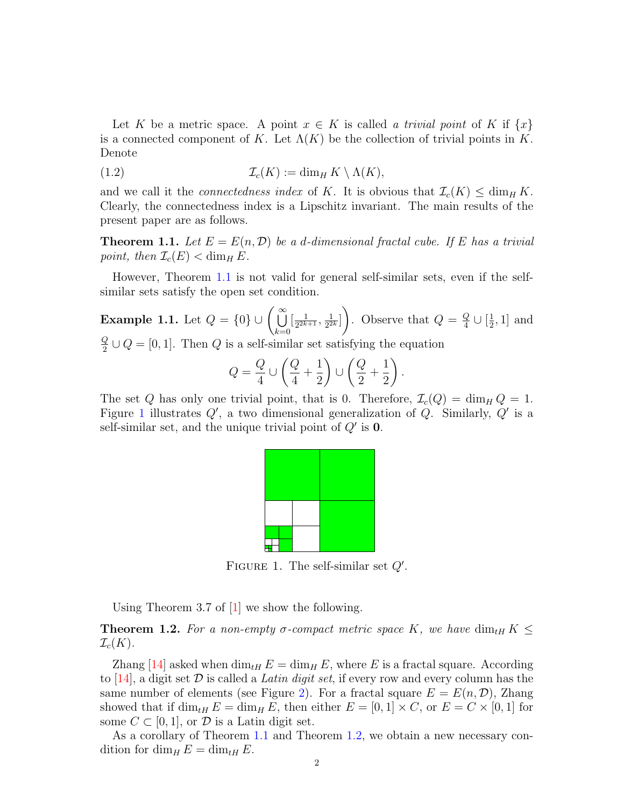Let K be a metric space. A point  $x \in K$  is called a trivial point of K if  $\{x\}$ is a connected component of K. Let  $\Lambda(K)$  be the collection of trivial points in K. Denote

(1.2) 
$$
\mathcal{I}_c(K) := \dim_H K \setminus \Lambda(K),
$$

and we call it the *connectedness index* of K. It is obvious that  $\mathcal{I}_c(K) \le \dim_H K$ . Clearly, the connectedness index is a Lipschitz invariant. The main results of the present paper are as follows.

<span id="page-1-0"></span>**Theorem 1.1.** Let  $E = E(n, \mathcal{D})$  be a d-dimensional fractal cube. If E has a trivial point, then  $\mathcal{I}_c(E) < \dim_H E$ .

However, Theorem [1.1](#page-1-0) is not valid for general self-similar sets, even if the selfsimilar sets satisfy the open set condition.

**Example 1.1.** Let  $Q = \{0\} \cup \left(\bigcup_{i=1}^{\infty}$  $_{k=0}$  $\left[\frac{1}{22k}\right]$  $\frac{1}{2^{2k+1}}, \frac{1}{2^2}$  $\frac{1}{2^{2k}}\Big]$  $\setminus$ . Observe that  $Q = \frac{Q}{4}$  $\frac{Q}{4} \cup [\frac{1}{2}$  $\frac{1}{2}$ , 1] and Q  $\frac{Q}{2} \cup Q = [0, 1]$ . Then Q is a self-similar set satisfying the equation

$$
Q = \frac{Q}{4} \cup \left(\frac{Q}{4} + \frac{1}{2}\right) \cup \left(\frac{Q}{2} + \frac{1}{2}\right).
$$

The set Q has only one trivial point, that is 0. Therefore,  $\mathcal{I}_c(Q) = \dim_H Q = 1$ . Figure [1](#page-1-1) illustrates  $Q'$ , a two dimensional generalization of  $Q$ . Similarly,  $Q'$  is a self-similar set, and the unique trivial point of  $Q'$  is 0.



<span id="page-1-1"></span>FIGURE 1. The self-similar set  $Q'$ .

Using Theorem 3.7 of [\[1\]](#page-11-7) we show the following.

<span id="page-1-2"></span>**Theorem 1.2.** For a non-empty  $\sigma$ -compact metric space K, we have  $\dim_{tH} K \leq$  $\mathcal{I}_c(K)$ .

Zhang [\[14\]](#page-11-9) asked when  $\dim_{tH} E = \dim_H E$ , where E is a fractal square. According to [\[14\]](#page-11-9), a digit set  $\mathcal D$  is called a Latin digit set, if every row and every column has the same number of elements (see Figure [2\)](#page-2-0). For a fractal square  $E = E(n, \mathcal{D})$ , Zhang showed that if  $\dim_{tH} E = \dim_H E$ , then either  $E = [0, 1] \times C$ , or  $E = C \times [0, 1]$  for some  $C \subset [0, 1]$ , or  $\mathcal D$  is a Latin digit set.

As a corollary of Theorem [1.1](#page-1-0) and Theorem [1.2,](#page-1-2) we obtain a new necessary condition for dim<sub>H</sub>  $E = \dim_{tH} E$ .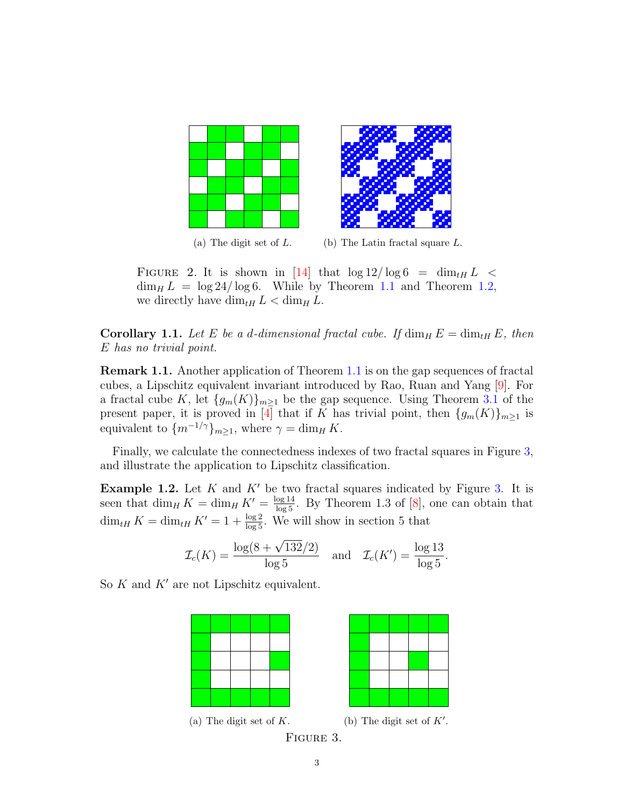

<span id="page-2-0"></span>(a) The digit set of  $L$ . (b) The Latin fractal square  $L$ .

FIGURE 2. It is shown in [\[14\]](#page-11-9) that  $\log 12 / \log 6 = \dim_{tH} L$  <  $\dim_H L = \log 24 / \log 6$ . While by Theorem [1.1](#page-1-0) and Theorem [1.2,](#page-1-2) we directly have  $\dim_{tH} L < \dim_H L$ .

**Corollary 1.1.** Let E be a d-dimensional fractal cube. If  $\dim_H E = \dim_{HH} E$ , then E has no trivial point.

Remark 1.1. Another application of Theorem [1.1](#page-1-0) is on the gap sequences of fractal cubes, a Lipschitz equivalent invariant introduced by Rao, Ruan and Yang [\[9\]](#page-11-10). For a fractal cube K, let  $\{g_m(K)\}_{m\geq 1}$  be the gap sequence. Using Theorem [3.1](#page-6-0) of the present paper, it is proved in [\[4\]](#page-11-11) that if K has trivial point, then  $\{g_m(K)\}_{m\geq 1}$  is equivalent to  $\{m^{-1/\gamma}\}_{m\geq 1}$ , where  $\gamma = \dim_H K$ .

Finally, we calculate the connectedness indexes of two fractal squares in Figure [3,](#page-2-1) and illustrate the application to Lipschitz classification.

<span id="page-2-2"></span>**Example 1.2.** Let  $K$  and  $K'$  be two fractal squares indicated by Figure [3.](#page-2-1) It is seen that  $\dim_H K = \dim_H K' = \frac{\log 14}{\log 5}$ . By Theorem 1.3 of [\[8\]](#page-11-8), one can obtain that  $\dim_{tH} K = \dim_{tH} K' = 1 + \frac{\log 2}{\log 5}$ . We will show in section 5 that

$$
\mathcal{I}_c(K) = \frac{\log(8 + \sqrt{132}/2)}{\log 5}
$$
 and  $\mathcal{I}_c(K') = \frac{\log 13}{\log 5}$ .

So  $K$  and  $K'$  are not Lipschitz equivalent.





<span id="page-2-1"></span>

```
Figure 3.
```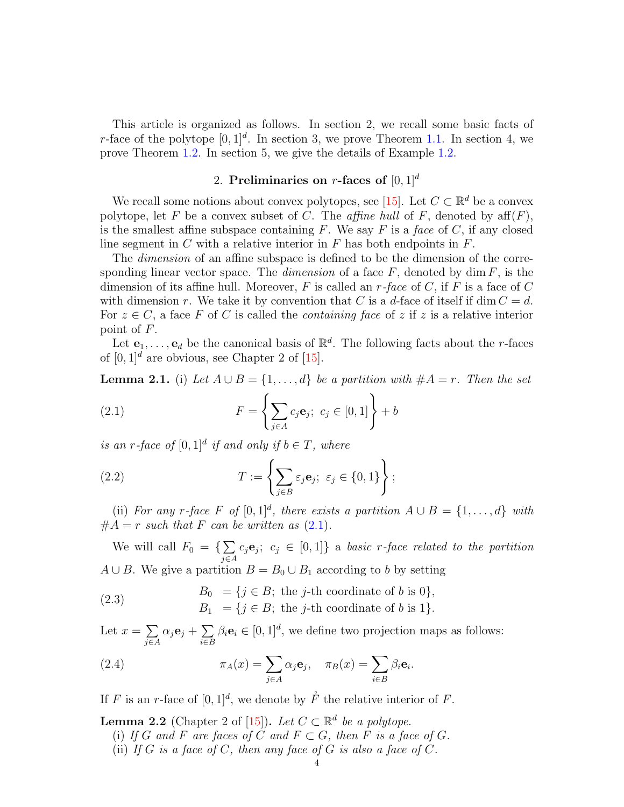This article is organized as follows. In section 2, we recall some basic facts of r-face of the polytope  $[0, 1]^d$ . In section 3, we prove Theorem [1.1.](#page-1-0) In section 4, we prove Theorem [1.2.](#page-1-2) In section 5, we give the details of Example [1.2.](#page-2-2)

# 2. Preliminaries on r-faces of  $[0, 1]^d$

We recall some notions about convex polytopes, see [\[15\]](#page-11-12). Let  $C \subset \mathbb{R}^d$  be a convex polytope, let F be a convex subset of C. The *affine hull* of F, denoted by  $aff(F)$ , is the smallest affine subspace containing  $F$ . We say  $F$  is a face of  $C$ , if any closed line segment in C with a relative interior in F has both endpoints in  $F$ .

The *dimension* of an affine subspace is defined to be the dimension of the corresponding linear vector space. The *dimension* of a face  $F$ , denoted by dim  $F$ , is the dimension of its affine hull. Moreover,  $F$  is called an  $r$ -face of  $C$ , if  $F$  is a face of  $C$ with dimension r. We take it by convention that C is a d-face of itself if dim  $C = d$ . For  $z \in C$ , a face F of C is called the *containing face* of z if z is a relative interior point of F.

Let  $e_1, \ldots, e_d$  be the canonical basis of  $\mathbb{R}^d$ . The following facts about the *r*-faces of  $[0, 1]^d$  are obvious, see Chapter 2 of [\[15\]](#page-11-12).

<span id="page-3-2"></span>**Lemma 2.1.** (i) Let  $A \cup B = \{1, ..., d\}$  be a partition with  $#A = r$ . Then the set

<span id="page-3-0"></span>(2.1) 
$$
F = \left\{ \sum_{j \in A} c_j \mathbf{e}_j; \ c_j \in [0, 1] \right\} + b
$$

is an r-face of  $[0,1]^d$  if and only if  $b \in T$ , where

<span id="page-3-1"></span>(2.2) 
$$
T := \left\{ \sum_{j \in B} \varepsilon_j e_j; \ \varepsilon_j \in \{0, 1\} \right\};
$$

(ii) For any r-face F of  $[0,1]^d$ , there exists a partition  $A \cup B = \{1,\ldots,d\}$  with  $#A = r$  such that F can be written as  $(2.1)$ .

We will call  $F_0 = \{\sum$ j∈A  $c_j \mathbf{e}_j$ ;  $c_j \in [0,1]$  a basic r-face related to the partition  $A \cup B$ . We give a partition  $B = B_0 \cup B_1$  according to b by setting

<span id="page-3-4"></span>(2.3) 
$$
B_0 = \{j \in B; \text{ the } j\text{-th coordinate of } b \text{ is } 0\},
$$

$$
B_1 = \{j \in B; \text{ the } j\text{-th coordinate of } b \text{ is } 1\}.
$$

Let  $x = \sum$ j∈A  $\alpha_j{\bf e}_j+\sum$ i∈B  $\beta_i \mathbf{e}_i \in [0, 1]^d$ , we define two projection maps as follows:

.

(2.4) 
$$
\pi_A(x) = \sum_{j \in A} \alpha_j \mathbf{e}_j, \quad \pi_B(x) = \sum_{i \in B} \beta_i \mathbf{e}_i
$$

If F is an r-face of  $[0,1]^d$ , we denote by  $\mathring{F}$  the relative interior of F.

- <span id="page-3-3"></span>**Lemma 2.2** (Chapter 2 of [\[15\]](#page-11-12)). Let  $C \subset \mathbb{R}^d$  be a polytope.
	- (i) If G and F are faces of C and  $F \subset G$ , then F is a face of G.
	- (ii) If G is a face of C, then any face of G is also a face of C.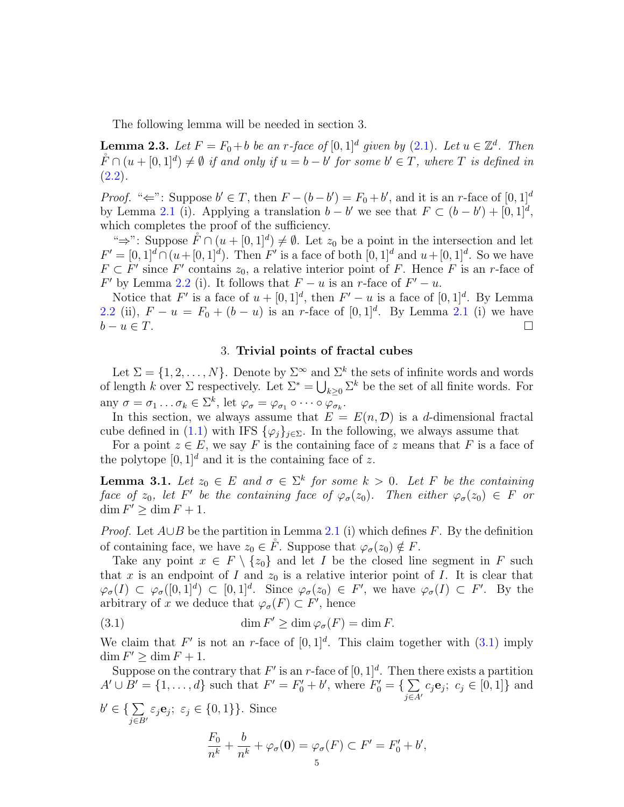The following lemma will be needed in section 3.

<span id="page-4-2"></span>**Lemma 2.3.** Let  $F = F_0 + b$  be an r-face of  $[0, 1]^d$  given by  $(2.1)$ . Let  $u \in \mathbb{Z}^d$ . Then  $\mathring{F} \cap (u + [0, 1]^d) \neq \emptyset$  if and only if  $u = b - b'$  for some  $b' \in T$ , where T is defined in  $(2.2).$  $(2.2).$ 

*Proof.* " $\Leftarrow$ ": Suppose  $b' \in T$ , then  $F - (b - b') = F_0 + b'$ , and it is an r-face of  $[0, 1]^d$ by Lemma [2.1](#page-3-2) (i). Applying a translation  $b - b'$  we see that  $F \subset (b - b') + [0, 1]^d$ , which completes the proof of the sufficiency.

" $\Rightarrow$ ": Suppose  $\mathring{F} \cap (u + [0,1]^d) \neq \emptyset$ . Let  $z_0$  be a point in the intersection and let  $F' = [0, 1]^d \cap (u + [0, 1]^d)$ . Then F' is a face of both  $[0, 1]^d$  and  $u + [0, 1]^d$ . So we have  $F \subset F'$  since F' contains  $z_0$ , a relative interior point of F. Hence F is an r-face of  $F'$  by Lemma [2.2](#page-3-3) (i). It follows that  $F - u$  is an r-face of  $F' - u$ .

Notice that F' is a face of  $u + [0, 1]^d$ , then  $F' - u$  is a face of  $[0, 1]^d$ . By Lemma [2.2](#page-3-3) (ii),  $F - u = F_0 + (b - u)$  is an r-face of  $[0, 1]^d$ . By Lemma [2.1](#page-3-2) (i) we have  $b - u \in T$ .

### 3. Trivial points of fractal cubes

Let  $\Sigma = \{1, 2, ..., N\}$ . Denote by  $\Sigma^{\infty}$  and  $\Sigma^{k}$  the sets of infinite words and words of length k over  $\Sigma$  respectively. Let  $\Sigma^* = \bigcup_{k \geq 0} \Sigma^k$  be the set of all finite words. For any  $\sigma = \sigma_1 \dots \sigma_k \in \Sigma^k$ , let  $\varphi_{\sigma} = \varphi_{\sigma_1} \circ \cdots \circ \varphi_{\sigma_k}$ .

In this section, we always assume that  $E = E(n, \mathcal{D})$  is a d-dimensional fractal cube defined in [\(1.1\)](#page-0-0) with IFS  $\{\varphi_j\}_{j\in\Sigma}$ . In the following, we always assume that

For a point  $z \in E$ , we say F is the containing face of z means that F is a face of the polytope  $[0, 1]^d$  and it is the containing face of z.

<span id="page-4-1"></span>**Lemma 3.1.** Let  $z_0 \in E$  and  $\sigma \in \Sigma^k$  for some  $k > 0$ . Let F be the containing face of  $z_0$ , let F' be the containing face of  $\varphi_{\sigma}(z_0)$ . Then either  $\varphi_{\sigma}(z_0) \in F$  or  $\dim F' \geq \dim F + 1.$ 

*Proof.* Let  $A\cup B$  be the partition in Lemma [2.1](#page-3-2) (i) which defines F. By the definition of containing face, we have  $z_0 \in \tilde{F}$ . Suppose that  $\varphi_{\sigma}(z_0) \notin F$ .

Take any point  $x \in F \setminus \{z_0\}$  and let I be the closed line segment in F such that x is an endpoint of I and  $z_0$  is a relative interior point of I. It is clear that  $\varphi_{\sigma}(I) \subset \varphi_{\sigma}([0,1]^d) \subset [0,1]^d$ . Since  $\varphi_{\sigma}(z_0) \in F'$ , we have  $\varphi_{\sigma}(I) \subset F'$ . By the arbitrary of x we deduce that  $\varphi_{\sigma}(F) \subset F'$ , hence

<span id="page-4-0"></span>(3.1) 
$$
\dim F' \ge \dim \varphi_{\sigma}(F) = \dim F.
$$

We claim that F' is not an r-face of  $[0,1]^d$ . This claim together with  $(3.1)$  imply  $\dim F' \geq \dim F + 1.$ 

Suppose on the contrary that  $F'$  is an r-face of  $[0,1]^d$ . Then there exists a partition  $A' \cup B' = \{1, ..., d\}$  such that  $F' = F'_0 + b'$ , where  $F'_0 = \{\sum$  $j\in A'$  $c_j \mathbf{e}_j$ ;  $c_j \in [0,1]$ } and  $b' \in \set{\sum}$  $j \in B'$  $\varepsilon_j \mathbf{e}_j$ ;  $\varepsilon_j \in \{0, 1\}$ . Since  $F_0$  $\frac{1}{n^k}$  + b  $\frac{\partial}{\partial n^k} + \varphi_\sigma(\mathbf{0}) = \varphi_\sigma(F) \subset F' = F'_0 + b',$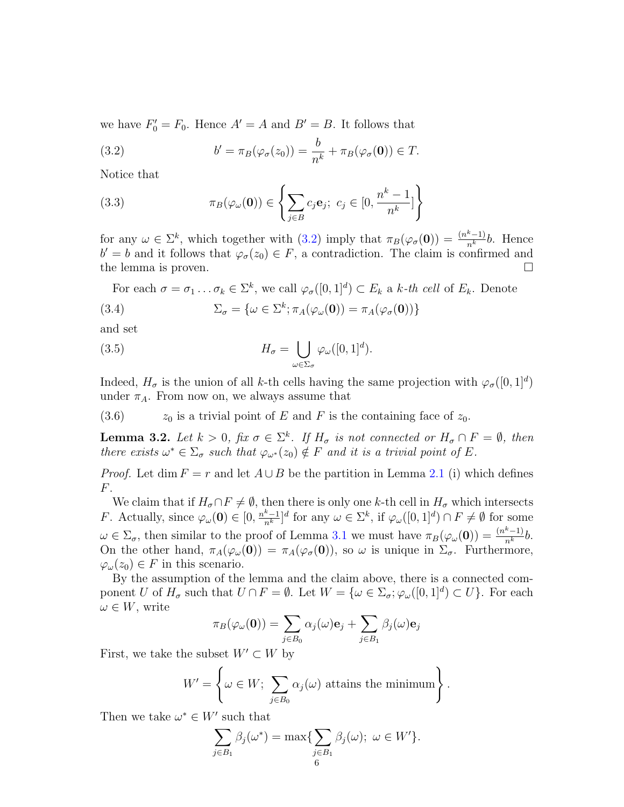we have  $F_0' = F_0$ . Hence  $A' = A$  and  $B' = B$ . It follows that

<span id="page-5-0"></span>(3.2) 
$$
b' = \pi_B(\varphi_{\sigma}(z_0)) = \frac{b}{n^k} + \pi_B(\varphi_{\sigma}(\mathbf{0})) \in T.
$$

Notice that

(3.3) 
$$
\pi_B(\varphi_\omega(\mathbf{0})) \in \left\{ \sum_{j \in B} c_j \mathbf{e}_j; \ c_j \in [0, \frac{n^k - 1}{n^k}] \right\}
$$

for any  $\omega \in \Sigma^k$ , which together with [\(3.2\)](#page-5-0) imply that  $\pi_B(\varphi_\sigma(\mathbf{0})) = \frac{(n^k-1)}{n^k}b$ . Hence  $b' = b$  and it follows that  $\varphi_{\sigma}(z_0) \in F$ , a contradiction. The claim is confirmed and the lemma is proven.

For each  $\sigma = \sigma_1 \dots \sigma_k \in \Sigma^k$ , we call  $\varphi_{\sigma}([0,1]^d) \subset E_k$  a k-th cell of  $E_k$ . Denote

(3.4) 
$$
\Sigma_{\sigma} = {\omega \in \Sigma^{k}; \pi_{A}(\varphi_{\omega}(\mathbf{0})) = \pi_{A}(\varphi_{\sigma}(\mathbf{0})) }
$$

and set

<span id="page-5-1"></span>(3.5) 
$$
H_{\sigma} = \bigcup_{\omega \in \Sigma_{\sigma}} \varphi_{\omega}([0,1]^{d}).
$$

Indeed,  $H_{\sigma}$  is the union of all k-th cells having the same projection with  $\varphi_{\sigma}([0, 1]^d)$ under  $\pi_A$ . From now on, we always assume that

(3.6)  $z_0$  is a trivial point of E and F is the containing face of  $z_0$ .

<span id="page-5-2"></span>**Lemma 3.2.** Let  $k > 0$ , fix  $\sigma \in \Sigma^k$ . If  $H_{\sigma}$  is not connected or  $H_{\sigma} \cap F = \emptyset$ , then there exists  $\omega^* \in \Sigma_{\sigma}$  such that  $\varphi_{\omega^*}(z_0) \notin F$  and it is a trivial point of E.

*Proof.* Let dim  $F = r$  and let  $A \cup B$  be the partition in Lemma [2.1](#page-3-2) (i) which defines F.

We claim that if  $H_{\sigma} \cap F \neq \emptyset$ , then there is only one k-th cell in  $H_{\sigma}$  which intersects *F*. Actually, since  $\varphi_\omega(\mathbf{0}) \in [0, \frac{n^k-1}{n^k}]^d$  for any  $\omega \in \Sigma^k$ , if  $\varphi_\omega([0,1]^d) \cap F \neq \emptyset$  for some  $\omega \in \Sigma_{\sigma}$ , then similar to the proof of Lemma [3.1](#page-4-1) we must have  $\pi_B(\varphi_\omega(\mathbf{0})) = \frac{(n^k-1)}{n^k}b$ . On the other hand,  $\pi_A(\varphi_\omega(0)) = \pi_A(\varphi_\sigma(0))$ , so  $\omega$  is unique in  $\Sigma_\sigma$ . Furthermore,  $\varphi_{\omega}(z_0) \in F$  in this scenario.

By the assumption of the lemma and the claim above, there is a connected component U of  $H_{\sigma}$  such that  $U \cap F = \emptyset$ . Let  $W = \{ \omega \in \Sigma_{\sigma}; \varphi_{\omega}([0,1]^d) \subset U \}$ . For each  $\omega \in W$ , write

$$
\pi_B(\varphi_\omega(\mathbf{0})) = \sum_{j \in B_0} \alpha_j(\omega) \mathbf{e}_j + \sum_{j \in B_1} \beta_j(\omega) \mathbf{e}_j
$$

First, we take the subset  $W' \subset W$  by

$$
W' = \left\{ \omega \in W; \sum_{j \in B_0} \alpha_j(\omega) \text{ attains the minimum} \right\}.
$$

Then we take  $\omega^* \in W'$  such that

$$
\sum_{j \in B_1} \beta_j(\omega^*) = \max \{ \sum_{\substack{j \in B_1 \\ 6}} \beta_j(\omega); \ \omega \in W' \}.
$$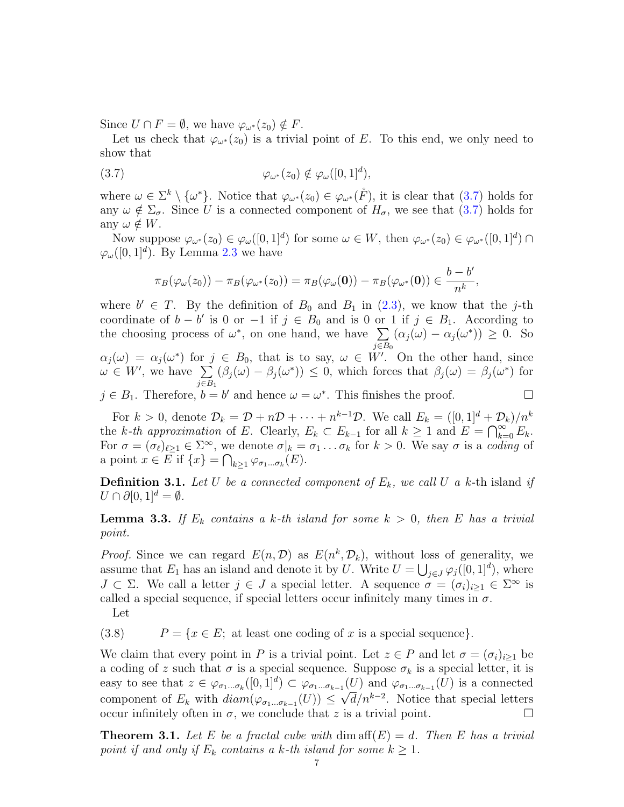Since  $U \cap F = \emptyset$ , we have  $\varphi_{\omega^*}(z_0) \notin F$ .

Let us check that  $\varphi_{\omega^*}(z_0)$  is a trivial point of E. To this end, we only need to show that

$$
(3.7) \qquad \qquad \varphi_{\omega^*}(z_0) \notin \varphi_{\omega}([0,1]^d),
$$

where  $\omega \in \Sigma^k \setminus {\{\omega^*\}}$ . Notice that  $\varphi_{\omega^*}(z_0) \in \varphi_{\omega^*}(\mathring{F})$ , it is clear that  $(3.7)$  holds for any  $\omega \notin \Sigma_{\sigma}$ . Since U is a connected component of  $H_{\sigma}$ , we see that [\(3.7\)](#page-6-1) holds for any  $\omega \notin W$ .

Now suppose  $\varphi_{\omega^*}(z_0) \in \varphi_{\omega}([0,1]^d)$  for some  $\omega \in W$ , then  $\varphi_{\omega^*}(z_0) \in \varphi_{\omega^*}([0,1]^d) \cap$  $\varphi_\omega([0,1]^d)$ . By Lemma [2.3](#page-4-2) we have

<span id="page-6-1"></span>
$$
\pi_B(\varphi_\omega(z_0)) - \pi_B(\varphi_{\omega^*}(z_0)) = \pi_B(\varphi_\omega(\mathbf{0})) - \pi_B(\varphi_{\omega^*}(\mathbf{0})) \in \frac{b-b'}{n^k},
$$

where  $b' \in T$ . By the definition of  $B_0$  and  $B_1$  in [\(2.3\)](#page-3-4), we know that the j-th coordinate of  $b - b'$  is 0 or  $-1$  if  $j \in B_0$  and is 0 or 1 if  $j \in B_1$ . According to the choosing process of  $\omega^*$ , on one hand, we have  $\Sigma$  $j \in B_0$  $(\alpha_j(\omega) - \alpha_j(\omega^*)) \geq 0$ . So  $\alpha_j(\omega) = \alpha_j(\omega^*)$  for  $j \in B_0$ , that is to say,  $\omega \in W'$ . On the other hand, since  $\omega \in W'$ , we have  $\sum$  $j \in B_1$  $(\beta_j(\omega) - \beta_j(\omega^*)) \leq 0$ , which forces that  $\beta_j(\omega) = \beta_j(\omega^*)$  for  $j \in B_1$ . Therefore,  $b = b'$  and hence  $\omega = \omega^*$ . This finishes the proof.

For  $k > 0$ , denote  $\mathcal{D}_k = \mathcal{D} + n\mathcal{D} + \cdots + n^{k-1}\mathcal{D}$ . We call  $E_k = ([0, 1]^d + \mathcal{D}_k)/n^k$ the k-th approximation of E. Clearly,  $E_k \subset E_{k-1}$  for all  $k \geq 1$  and  $E = \bigcap_{k=0}^{\infty} E_k$ . For  $\sigma = (\sigma_\ell)_{\ell \geq 1} \in \Sigma^\infty$ , we denote  $\sigma|_k = \sigma_1 \dots \sigma_k$  for  $k > 0$ . We say  $\sigma$  is a coding of a point  $x \in E$  if  $\{x\} = \bigcap_{k \geq 1} \varphi_{\sigma_1 \dots \sigma_k}(E)$ .

**Definition 3.1.** Let U be a connected component of  $E_k$ , we call U a k-th island if  $U \cap \partial [0,1]^d = \emptyset.$ 

<span id="page-6-2"></span>**Lemma 3.3.** If  $E_k$  contains a k-th island for some  $k > 0$ , then E has a trivial point.

*Proof.* Since we can regard  $E(n, \mathcal{D})$  as  $E(n^k, \mathcal{D}_k)$ , without loss of generality, we assume that  $E_1$  has an island and denote it by U. Write  $U = \bigcup_{j \in J} \varphi_j([0,1]^d)$ , where  $J \subset \Sigma$ . We call a letter  $j \in J$  a special letter. A sequence  $\sigma = (\sigma_i)_{i \geq 1} \in \Sigma^\infty$  is called a special sequence, if special letters occur infinitely many times in  $\sigma$ .

#### <span id="page-6-3"></span>Let

(3.8)  $P = \{x \in E; \text{ at least one coding of } x \text{ is a special sequence}\}.$ 

We claim that every point in P is a trivial point. Let  $z \in P$  and let  $\sigma = (\sigma_i)_{i\geq 1}$  be a coding of z such that  $\sigma$  is a special sequence. Suppose  $\sigma_k$  is a special letter, it is easy to see that  $z \in \varphi_{\sigma_1...\sigma_k}([0,1]^d) \subset \varphi_{\sigma_1...\sigma_{k-1}}(U)$  and  $\varphi_{\sigma_1...\sigma_{k-1}}(U)$  is a connected component of  $E_k$  with  $diam(\varphi_{\sigma_1...\sigma_{k-1}}(U)) \leq \sqrt{d}/n^{k-2}$ . Notice that special letters occur infinitely often in  $\sigma$ , we conclude that z is a trivial point.

<span id="page-6-0"></span>**Theorem 3.1.** Let E be a fractal cube with  $\dim \operatorname{aff}(E) = d$ . Then E has a trivial point if and only if  $E_k$  contains a k-th island for some  $k \geq 1$ .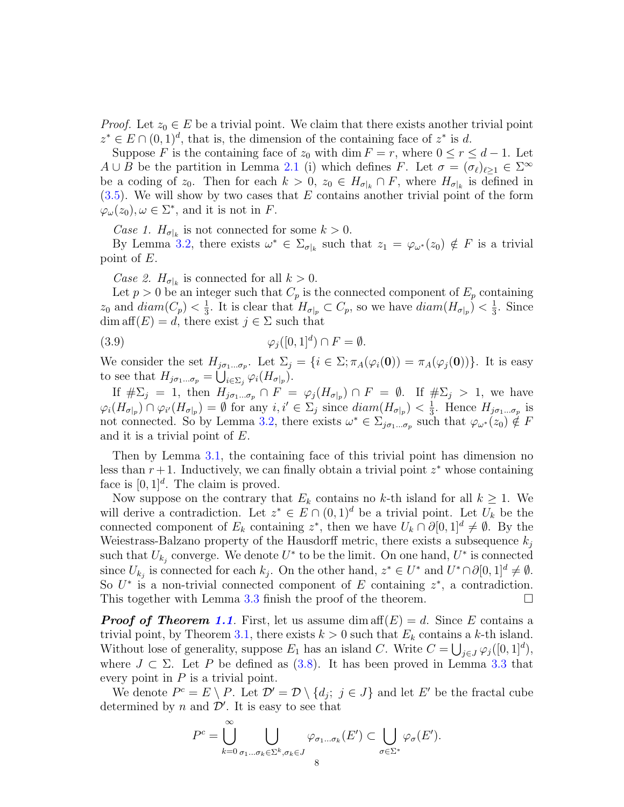*Proof.* Let  $z_0 \in E$  be a trivial point. We claim that there exists another trivial point  $z^* \in E \cap (0,1)^d$ , that is, the dimension of the containing face of  $z^*$  is d.

Suppose F is the containing face of  $z_0$  with dim  $F = r$ , where  $0 \le r \le d - 1$ . Let  $A \cup B$  be the partition in Lemma [2.1](#page-3-2) (i) which defines F. Let  $\sigma = (\sigma_{\ell})_{\ell \geq 1} \in \Sigma^{\infty}$ be a coding of  $z_0$ . Then for each  $k > 0$ ,  $z_0 \in H_{\sigma|_k} \cap F$ , where  $H_{\sigma|_k}$  is defined in  $(3.5)$ . We will show by two cases that E contains another trivial point of the form  $\varphi_{\omega}(z_0), \omega \in \Sigma^*$ , and it is not in F.

Case 1.  $H_{\sigma|_k}$  is not connected for some  $k > 0$ .

By Lemma [3.2,](#page-5-2) there exists  $\omega^* \in \Sigma_{\sigma|k}$  such that  $z_1 = \varphi_{\omega^*}(z_0) \notin F$  is a trivial point of E.

Case 2.  $H_{\sigma|_k}$  is connected for all  $k > 0$ .

Let  $p > 0$  be an integer such that  $C_p$  is the connected component of  $E_p$  containing  $z_0$  and  $diam(C_p) < \frac{1}{3}$  $\frac{1}{3}$ . It is clear that  $H_{\sigma|_p} \subset C_p$ , so we have  $diam(H_{\sigma|_p}) < \frac{1}{3}$  $\frac{1}{3}$ . Since  $dim \operatorname{aff}(E) = d$ , there exist  $j \in \Sigma$  such that

(3.9) 
$$
\varphi_j([0,1]^d) \cap F = \emptyset.
$$

We consider the set  $H_{j\sigma_1...\sigma_p}$ . Let  $\Sigma_j = \{i \in \Sigma; \pi_A(\varphi_i(\mathbf{0})) = \pi_A(\varphi_j(\mathbf{0}))\}$ . It is easy to see that  $H_{j\sigma_1...\sigma_p} = \bigcup_{i \in \Sigma_j} \varphi_i(H_{\sigma|_p}).$ 

If  $\#\Sigma_j = 1$ , then  $H_{j\sigma_1...\sigma_p} \cap F = \varphi_j(H_{\sigma|_p}) \cap F = \emptyset$ . If  $\#\Sigma_j > 1$ , we have  $\varphi_i(H_{\sigma|_p}) \cap \varphi_{i'}(H_{\sigma|_p}) = \emptyset$  for any  $i, i' \in \Sigma_j$  since  $diam(H_{\sigma|_p}) < \frac{1}{3}$  $\frac{1}{3}$ . Hence  $H_{j\sigma_1...\sigma_p}$  is not connected. So by Lemma [3.2,](#page-5-2) there exists  $\omega^* \in \Sigma_{j_{\sigma_1...\sigma_p}}$  such that  $\varphi_{\omega^*}(z_0) \notin F$ and it is a trivial point of E.

Then by Lemma [3.1,](#page-4-1) the containing face of this trivial point has dimension no less than  $r + 1$ . Inductively, we can finally obtain a trivial point  $z^*$  whose containing face is  $[0, 1]^d$ . The claim is proved.

Now suppose on the contrary that  $E_k$  contains no k-th island for all  $k \geq 1$ . We will derive a contradiction. Let  $z^* \in E \cap (0,1)^d$  be a trivial point. Let  $U_k$  be the connected component of  $E_k$  containing  $z^*$ , then we have  $U_k \cap \partial [0,1]^d \neq \emptyset$ . By the Weiestrass-Balzano property of the Hausdorff metric, there exists a subsequence  $k_i$ such that  $U_{k_j}$  converge. We denote  $U^*$  to be the limit. On one hand,  $U^*$  is connected since  $U_{k_j}$  is connected for each  $k_j$ . On the other hand,  $z^* \in U^*$  and  $U^* \cap \partial [0,1]^d \neq \emptyset$ . So  $U^*$  is a non-trivial connected component of E containing  $z^*$ , a contradiction. This together with Lemma [3.3](#page-6-2) finish the proof of the theorem.

**Proof of Theorem [1.1](#page-1-0).** First, let us assume dim aff(E) = d. Since E contains a trivial point, by Theorem [3.1,](#page-6-0) there exists  $k > 0$  such that  $E_k$  contains a k-th island. Without lose of generality, suppose  $E_1$  has an island C. Write  $C = \bigcup_{j \in J} \varphi_j([0,1]^d)$ , where  $J \subset \Sigma$ . Let P be defined as [\(3.8\)](#page-6-3). It has been proved in Lemma [3.3](#page-6-2) that every point in  $P$  is a trivial point.

We denote  $P^c = E \setminus P$ . Let  $\mathcal{D}' = \mathcal{D} \setminus \{d_j; j \in J\}$  and let E' be the fractal cube determined by n and  $\mathcal{D}'$ . It is easy to see that

$$
P^{c} = \bigcup_{k=0}^{\infty} \bigcup_{\sigma_{1}...\sigma_{k} \in \Sigma^{k}, \sigma_{k} \in J} \varphi_{\sigma_{1}...\sigma_{k}}(E') \subset \bigcup_{\sigma \in \Sigma^{*}} \varphi_{\sigma}(E').
$$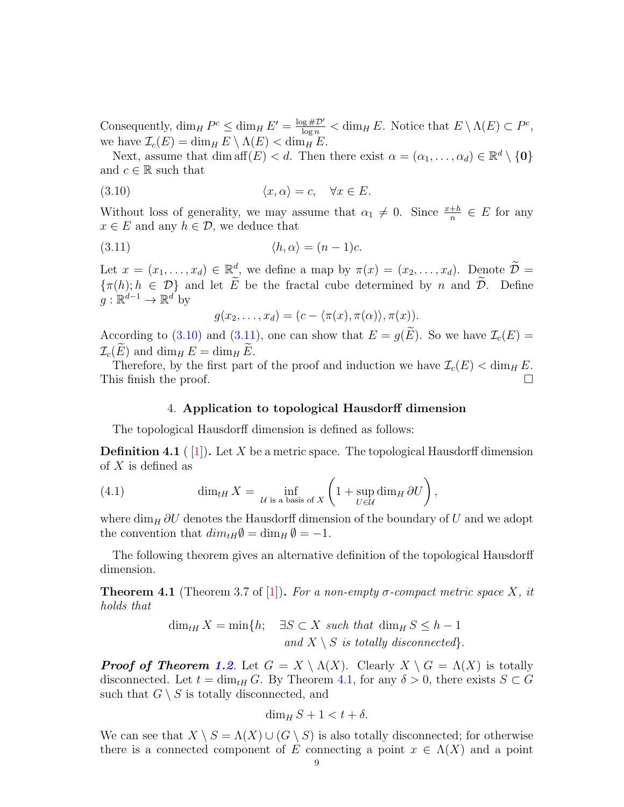Consequently,  $\dim_H P^c \leq \dim_H E' = \frac{\log \# \mathcal{D}'}{\log n} < \dim_H E$ . Notice that  $E \setminus \Lambda(E) \subset P^c$ , we have  $\mathcal{I}_c(E) = \dim_H E \setminus \Lambda(E) < \dim_H E$ .

Next, assume that dim  $\text{aff}(E) < d$ . Then there exist  $\alpha = (\alpha_1, \dots, \alpha_d) \in \mathbb{R}^d \setminus \{0\}$ and  $c \in \mathbb{R}$  such that

$$
(3.10) \t\t \langle x, \alpha \rangle = c, \quad \forall x \in E.
$$

Without loss of generality, we may assume that  $\alpha_1 \neq 0$ . Since  $\frac{x+h}{n} \in E$  for any  $x \in E$  and any  $h \in \mathcal{D}$ , we deduce that

(3.11) hh, αi = (n − 1)c.

Let  $x = (x_1, \ldots, x_d) \in \mathbb{R}^d$ , we define a map by  $\pi(x) = (x_2, \ldots, x_d)$ . Denote  $\widetilde{\mathcal{D}} =$  $\{\pi(h); h \in \mathcal{D}\}\$  and let E be the fractal cube determined by n and  $\mathcal{D}$ . Define  $g: \mathbb{R}^{d-1} \to \mathbb{R}^{d'}$  by

<span id="page-8-1"></span><span id="page-8-0"></span>
$$
g(x_2,...,x_d)=(c-\langle \pi(x),\pi(\alpha)\rangle,\pi(x)).
$$

According to [\(3.10\)](#page-8-0) and [\(3.11\)](#page-8-1), one can show that  $E = g(\widetilde{E})$ . So we have  $\mathcal{I}_c(E)$  =  $\mathcal{I}_c(E)$  and dim<sub>H</sub>  $E = \dim_H E$ .

Therefore, by the first part of the proof and induction we have  $\mathcal{I}_c(E) < \dim_H E$ . This finish the proof.

## 4. Application to topological Hausdorff dimension

The topological Hausdorff dimension is defined as follows:

**Definition 4.1** ( $\overline{1}$ ). Let X be a metric space. The topological Hausdorff dimension of X is defined as

(4.1) 
$$
\dim_{tH} X = \inf_{\mathcal{U} \text{ is a basis of } X} \left( 1 + \sup_{U \in \mathcal{U}} \dim_H \partial U \right),
$$

where  $\dim_H \partial U$  denotes the Hausdorff dimension of the boundary of U and we adopt the convention that  $dim_{tH}\emptyset = \dim_H \emptyset = -1$ .

The following theorem gives an alternative definition of the topological Hausdorff dimension.

<span id="page-8-2"></span>**Theorem 4.1** (Theorem 3.7 of [\[1\]](#page-11-7)). For a non-empty  $\sigma$ -compact metric space X, it holds that

$$
\dim_{tH} X = \min\{h; \quad \exists S \subset X \text{ such that } \dim_H S \le h - 1
$$
  
and  $X \setminus S$  is totally disconnected\}.

**Proof of Theorem [1.2](#page-1-2).** Let  $G = X \setminus \Lambda(X)$ . Clearly  $X \setminus G = \Lambda(X)$  is totally disconnected. Let  $t = \dim_{tH} G$ . By Theorem [4.1,](#page-8-2) for any  $\delta > 0$ , there exists  $S \subset G$ such that  $G \setminus S$  is totally disconnected, and

$$
\dim_H S + 1 < t + \delta.
$$

We can see that  $X \setminus S = \Lambda(X) \cup (G \setminus S)$  is also totally disconnected; for otherwise there is a connected component of E connecting a point  $x \in \Lambda(X)$  and a point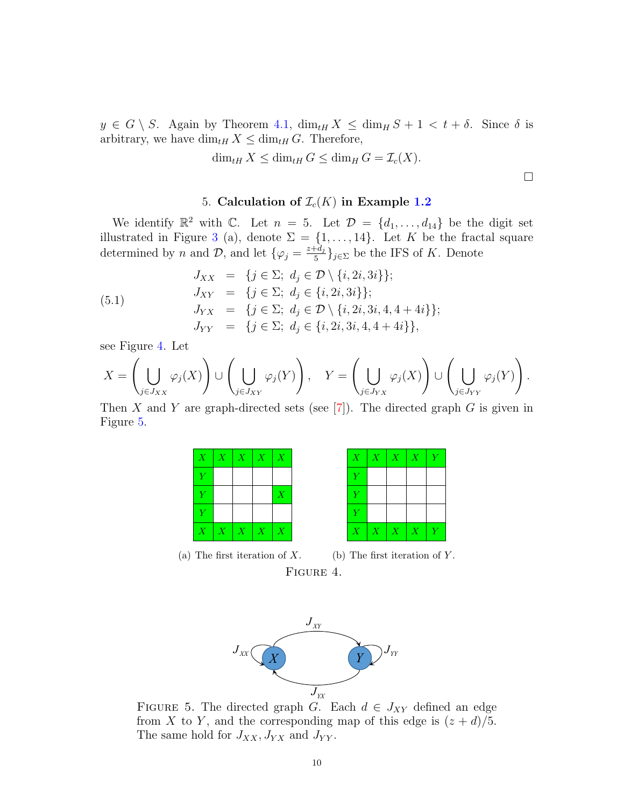$y \in G \setminus S$ . Again by Theorem [4.1,](#page-8-2)  $\dim_{tH} X \leq \dim_{H} S + 1 < t + \delta$ . Since  $\delta$  is arbitrary, we have  $\dim_{tH} X \leq \dim_{tH} G$ . Therefore,

$$
\dim_{tH} X \le \dim_{tH} G \le \dim_H G = \mathcal{I}_c(X).
$$

5. Calculation of  $\mathcal{I}_c(K)$  in Example [1.2](#page-2-2)

We identify  $\mathbb{R}^2$  with C. Let  $n = 5$ . Let  $\mathcal{D} = \{d_1, \ldots, d_{14}\}$  be the digit set illustrated in Figure [3](#page-2-1) (a), denote  $\Sigma = \{1, \ldots, 14\}$ . Let K be the fractal square determined by n and  $\mathcal{D}$ , and let  $\{\varphi_j = \frac{z+d_j}{5}\}$  $\frac{f^{4}a_j}{5}$ }<sub>j∈</sub> be the IFS of K. Denote

<span id="page-9-2"></span>(5.1)  
\n
$$
J_{XX} = \{j \in \Sigma; d_j \in \mathcal{D} \setminus \{i, 2i, 3i\}\};
$$
\n
$$
J_{XY} = \{j \in \Sigma; d_j \in \{i, 2i, 3i\}\};
$$
\n
$$
J_{YX} = \{j \in \Sigma; d_j \in \mathcal{D} \setminus \{i, 2i, 3i, 4, 4 + 4i\}\};
$$
\n
$$
J_{YY} = \{j \in \Sigma; d_j \in \{i, 2i, 3i, 4, 4 + 4i\}\},
$$

see Figure [4.](#page-9-0) Let

$$
X=\left(\bigcup_{j\in J_{XX}}\varphi_j(X)\right)\cup\left(\bigcup_{j\in J_{XY}}\varphi_j(Y)\right),\quad Y=\left(\bigcup_{j\in J_{YX}}\varphi_j(X)\right)\cup\left(\bigcup_{j\in J_{YY}}\varphi_j(Y)\right).
$$

Then X and Y are graph-directed sets (see  $[7]$ ). The directed graph G is given in Figure [5.](#page-9-1)

|                | $X \mid X \mid X \mid X \mid X$ |                     |             |                  |  |
|----------------|---------------------------------|---------------------|-------------|------------------|--|
| $\overline{Y}$ |                                 |                     |             |                  |  |
| $\overline{Y}$ |                                 |                     |             | $\boldsymbol{X}$ |  |
| $\overline{Y}$ |                                 |                     |             |                  |  |
| $\overline{X}$ | $\overline{X}$                  | $\boldsymbol{\chi}$ | $\boxed{X}$ | $\overline{X}$   |  |

<span id="page-9-0"></span>

| $X_{\cdot}$    | X | X | X | Y |
|----------------|---|---|---|---|
| $\overline{Y}$ |   |   |   |   |
| $\overline{Y}$ |   |   |   |   |
| $\overline{Y}$ |   |   |   |   |
| $\overline{X}$ | X | X | X | Y |

 $\Box$ 

(a) The first iteration of  $X$ . (b) The first iteration of Y. FIGURE 4.



<span id="page-9-1"></span>FIGURE 5. The directed graph G. Each  $d \in J_{XY}$  defined an edge from X to Y, and the corresponding map of this edge is  $(z + d)/5$ . The same hold for  $J_{XX}$ ,  $J_{YX}$  and  $J_{YY}$ .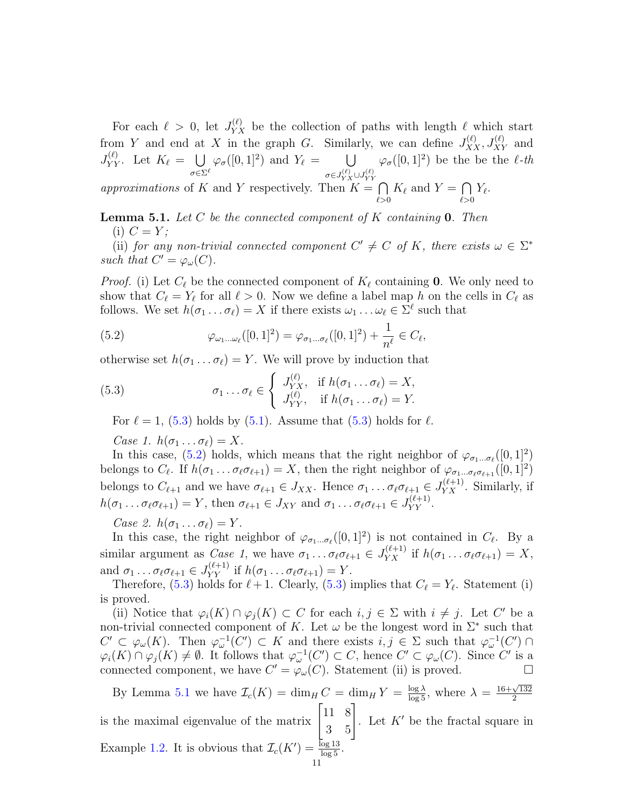For each  $\ell > 0$ , let  $J_{YX}^{(\ell)}$  be the collection of paths with length  $\ell$  which start from Y and end at X in the graph G. Similarly, we can define  $J_{XX}^{(\ell)}, J_{XY}^{(\ell)}$  and  $J_{YY}^{(\ell)}$ . Let  $K_{\ell} = \bigcup$  $\sigma{\in}\Sigma^\ell$  $\varphi_{\sigma}([0,1]^2)$  and  $Y_{\ell} = \bigcup$  $\sigma \in J_{YX}^{(\ell)} \cup J_{YY}^{(\ell)}$  $\varphi_{\sigma}([0,1]^2)$  be the be the  $\ell$ -th approximations of K and Y respectively. Then  $K = \bigcap$  $K_{\ell}$  and  $Y = \bigcap$  $Y_\ell.$ 

 $_{\ell>0}$  $\ell > 0$ 

<span id="page-10-2"></span>**Lemma 5.1.** Let C be the connected component of K containing 0. Then (i)  $C = Y;$ 

(ii) for any non-trivial connected component  $C' \neq C$  of K, there exists  $\omega \in \Sigma^*$ such that  $C' = \varphi_\omega(C)$ .

*Proof.* (i) Let  $C_{\ell}$  be the connected component of  $K_{\ell}$  containing 0. We only need to show that  $C_\ell = Y_\ell$  for all  $\ell > 0$ . Now we define a label map h on the cells in  $C_\ell$  as follows. We set  $h(\sigma_1 \dots \sigma_\ell) = X$  if there exists  $\omega_1 \dots \omega_\ell \in \Sigma^\ell$  such that

<span id="page-10-1"></span>(5.2) 
$$
\varphi_{\omega_1...\omega_\ell}([0,1]^2) = \varphi_{\sigma_1...\sigma_\ell}([0,1]^2) + \frac{1}{n^\ell} \in C_\ell,
$$

otherwise set  $h(\sigma_1 \dots \sigma_\ell) = Y$ . We will prove by induction that

(5.3) 
$$
\sigma_1 \dots \sigma_\ell \in \begin{cases} J_{YX}^{(\ell)}, & \text{if } h(\sigma_1 \dots \sigma_\ell) = X, \\ J_{YY}^{(\ell)}, & \text{if } h(\sigma_1 \dots \sigma_\ell) = Y. \end{cases}
$$

<span id="page-10-0"></span>For  $\ell = 1$ , [\(5.3\)](#page-10-0) holds by [\(5.1\)](#page-9-2). Assume that (5.3) holds for  $\ell$ .

Case 1.  $h(\sigma_1 \dots \sigma_\ell) = X$ .

In this case, [\(5.2\)](#page-10-1) holds, which means that the right neighbor of  $\varphi_{\sigma_1...\sigma_\ell}([0,1]^2)$ belongs to  $C_{\ell}$ . If  $h(\sigma_1 \ldots \sigma_{\ell} \sigma_{\ell+1}) = X$ , then the right neighbor of  $\varphi_{\sigma_1 \ldots \sigma_{\ell} \sigma_{\ell+1}}([0, 1]^2)$ belongs to  $C_{\ell+1}$  and we have  $\sigma_{\ell+1} \in J_{XX}$ . Hence  $\sigma_1 \dots \sigma_\ell \sigma_{\ell+1} \in J_{YX}^{(\ell+1)}$ . Similarly, if  $h(\sigma_1 \dots \sigma_\ell \sigma_{\ell+1}) = Y$ , then  $\sigma_{\ell+1} \in J_{XY}$  and  $\sigma_1 \dots \sigma_\ell \sigma_{\ell+1} \in J_{YY}^{(\ell+1)}$ .

Case 2.  $h(\sigma_1 \dots \sigma_\ell) = Y$ .

In this case, the right neighbor of  $\varphi_{\sigma_1...\sigma_\ell}([0,1]^2)$  is not contained in  $C_\ell$ . By a similar argument as *Case 1*, we have  $\sigma_1 \dots \sigma_\ell \sigma_{\ell+1} \in J_{YX}^{(\ell+1)}$  if  $h(\sigma_1 \dots \sigma_\ell \sigma_{\ell+1}) = X$ , and  $\sigma_1 \dots \sigma_\ell \sigma_{\ell+1} \in J_{YY}^{(\ell+1)}$  if  $h(\sigma_1 \dots \sigma_\ell \sigma_{\ell+1}) = Y$ .

Therefore, [\(5.3\)](#page-10-0) holds for  $\ell + 1$ . Clearly, (5.3) implies that  $C_{\ell} = Y_{\ell}$ . Statement (i) is proved.

(ii) Notice that  $\varphi_i(K) \cap \varphi_j(K) \subset C$  for each  $i, j \in \Sigma$  with  $i \neq j$ . Let C' be a non-trivial connected component of K. Let  $\omega$  be the longest word in  $\Sigma^*$  such that  $C' \subset \varphi_\omega(K)$ . Then  $\varphi_\omega^{-1}(C') \subset K$  and there exists  $i, j \in \Sigma$  such that  $\varphi_\omega^{-1}(C') \cap$  $\varphi_i(K) \cap \varphi_j(K) \neq \emptyset$ . It follows that  $\varphi_\omega^{-1}(C') \subset C$ , hence  $C' \subset \varphi_\omega(C)$ . Since  $C'$  is a connected component, we have  $C' = \varphi_\omega(C)$ . Statement (ii) is proved.

By Lemma [5.1](#page-10-2) we have  $\mathcal{I}_c(K) = \dim_H C = \dim_H Y = \frac{\log \lambda}{\log 5}$ , where  $\lambda =$  $16+\sqrt{132}$ 2 is the maximal eigenvalue of the matrix  $\begin{bmatrix} 11 & 8 \\ 3 & 5 \end{bmatrix}$ . Let  $K'$  be the fractal square in Example [1.2.](#page-2-2) It is obvious that  $\mathcal{I}_c(K') = \frac{\log 13}{\log 5}$ .